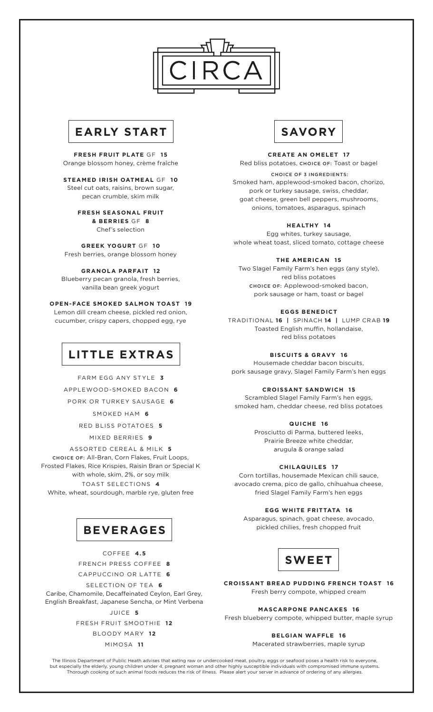



**FRESH FRUIT PLATE** GF **15** Orange blossom honey, crème fraîche

**STEAMED IRISH OATMEAL** GF **10** Steel cut oats, raisins, brown sugar, pecan crumble, skim milk

> **FRESH SEASONAL FRUIT & BERRIES** GF **8**

Chef's selection

**GREEK YOGURT** GF **10** Fresh berries, orange blossom honey

**GRANOLA PARFAIT 12**

Blueberry pecan granola, fresh berries, vanilla bean greek yogurt

**OPEN-FACE SMOKED SALMON TOAST 19** Lemon dill cream cheese, pickled red onion, cucumber, crispy capers, chopped egg, rye

# **LITTLE EXTRAS**

FARM EGG ANY STYLE **3**

APPLEWOOD-SMOKED BACON **6**

PORK OR TURKEY SAUSAGE **6**

SMOKED HAM **6**

RED BLISS POTATOES **5**

MIXED BERRIES **9**

ASSORTED CEREAL & MILK **5** CHOICE OF: All-Bran, Corn Flakes, Fruit Loops, Frosted Flakes, Rice Krispies, Raisin Bran or Special K with whole, skim, 2%, or soy milk TOAST SELECTIONS **4** White, wheat, sourdough, marble rye, gluten free



COFFEE **4.5**

FRENCH PRESS COFFEE **8**

CAPPUCCINO OR LATTE **6**

SELECTION OF TEA **6**

Caribe, Chamomile, Decaffeinated Ceylon, Earl Grey, English Breakfast, Japanese Sencha, or Mint Verbena

JUICE **5**

FRESH FRUIT SMOOTHIE **12** BLOODY MARY **12**

MIMOSA **11**



**CREATE AN OMELET 17**

Red bliss potatoes, CHOICE OF: Toast or bagel CHOICE OF 3 INGREDIENTS: Smoked ham, applewood-smoked bacon, chorizo, pork or turkey sausage, swiss, cheddar, goat cheese, green bell peppers, mushrooms, onions, tomatoes, asparagus, spinach

**HEALTHY 14**

Egg whites, turkey sausage, whole wheat toast, sliced tomato, cottage cheese

# **THE AMERICAN 15**

Two Slagel Family Farm's hen eggs (any style), red bliss potatoes CHOICE OF: Applewood-smoked bacon, pork sausage or ham, toast or bagel

# **EGGS BENEDICT**

TRADITIONAL **16 |** SPINACH **14 |** LUMP CRAB **19** Toasted English muffin, hollandaise, red bliss potatoes

# **BISCUITS & GRAVY 16**

Housemade cheddar bacon biscuits, pork sausage gravy, Slagel Family Farm's hen eggs

# **CROISSANT SANDWICH 15**

Scrambled Slagel Family Farm's hen eggs, smoked ham, cheddar cheese, red bliss potatoes

# **QUICHE 16**

Prosciutto di Parma, buttered leeks, Prairie Breeze white cheddar, arugula & orange salad

# **CHILAQUILES 17**

Corn tortillas, housemade Mexican chili sauce, avocado crema, pico de gallo, chihuahua cheese, fried Slagel Family Farm's hen eggs

# **EGG WHITE FRITTATA 16**

Asparagus, spinach, goat cheese, avocado, pickled chilies, fresh chopped fruit



**CROISSANT BREAD PUDDING FRENCH TOAST 16** Fresh berry compote, whipped cream

## **MASCARPONE PANCAKES 16**

Fresh blueberry compote, whipped butter, maple syrup

# **BELGIAN WAFFLE 16**

Macerated strawberries, maple syrup

The Illinois Department of Public Heath advises that eating raw or undercooked meat, poultry, eggs or seafood poses a health risk to everyone, but especially the elderly, young children under 4, pregnant woman and other highly susceptible individuals with compromised immune systems. Thorough cooking of such animal foods reduces the risk of illness. Please alert your server in advance of ordering of any allergies.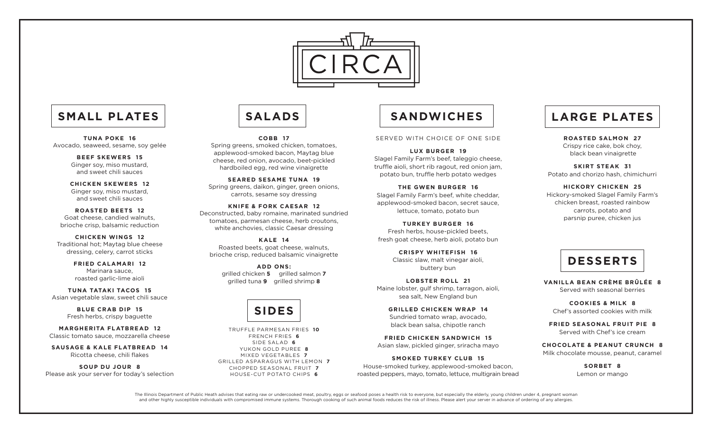

# SMALL PLATES | SALADS | SANDWICHES

**TUNA POKE 16** Avocado, seaweed, sesame, soy gelée

> **BEEF SKEWERS 15** Ginger soy, miso mustard, and sweet chili sauces

**CHICKEN SKEWERS 12** Ginger soy, miso mustard, and sweet chili sauces

**ROASTED BEETS 12** Goat cheese, candied walnuts, brioche crisp, balsamic reduction

**CHICKEN WINGS 12** Traditional hot; Maytag blue cheese dressing, celery, carrot sticks

> **FRIED CALAMARI 12** Marinara sauce, roasted garlic-lime aioli

**TUNA TATAKI TACOS 15** Asian vegetable slaw, sweet chili sauce

> **BLUE CRAB DIP 15** Fresh herbs, crispy baguette

**MARGHERITA FLATBREAD 12** Classic tomato sauce, mozzarella cheese

**SAUSAGE & KALE FLATBREAD 14** Ricotta cheese, chili flakes

**SOUP DU JOUR 8** Please ask your server for today's selection

**COBB 17** Spring greens, smoked chicken, tomatoes, applewood-smoked bacon, Maytag blue cheese, red onion, avocado, beet-pickled hardboiled egg, red wine vinaigrette

**SEARED SESAME TUNA 19** Spring greens, daikon, ginger, green onions, carrots, sesame soy dressing

**KNIFE & FORK CAESAR 12** Deconstructed, baby romaine, marinated sundried tomatoes, parmesan cheese, herb croutons, white anchovies, classic Caesar dressing

**KALE 14** Roasted beets, goat cheese, walnuts, brioche crisp, reduced balsamic vinaigrette

**ADD ONS:** grilled chicken **5** grilled salmon **7** grilled tuna **9** grilled shrimp **8**



TRUFFLE PARMESAN FRIES **10** FRENCH FRIES **6** SIDE SALAD **6** YUKON GOLD PUREE **8** MIXED VEGETABLES **7** GRILLED ASPARAGUS WITH LEMON **7** CHOPPED SEASONAL FRUIT **7** HOUSE-CUT POTATO CHIPS **6**

SERVED WITH CHOICE OF ONE SIDE

**LUX BURGER 19** Slagel Family Farm's beef, taleggio cheese. truffle aioli, short rib ragout, red onion jam, potato bun, truffle herb potato wedges

**THE GWEN BURGER 16** Slagel Family Farm's beef, white cheddar, applewood-smoked bacon, secret sauce, lettuce, tomato, potato bun

**TURKEY BURGER 16** Fresh herbs, house-pickled beets, fresh goat cheese, herb aioli, potato bun

> **CRISPY WHITEFISH 16** Classic slaw, malt vinegar aioli, buttery bun

**LOBSTER ROLL 21** Maine lobster, gulf shrimp, tarragon, aioli, sea salt, New England bun

**GRILLED CHICKEN WRAP 14** Sundried tomato wrap, avocado, black bean salsa, chipotle ranch

**FRIED CHICKEN SANDWICH 15** Asian slaw, pickled ginger, sriracha mayo

**SMOKED TURKEY CLUB 15** House-smoked turkey, applewood-smoked bacon, roasted peppers, mayo, tomato, lettuce, multigrain bread

# **LARGE PLATES**

**ROASTED SALMON 27** Crispy rice cake, bok choy, black bean vinaigrette

**SKIRT STEAK 31** Potato and chorizo hash, chimichurri

**HICKORY CHICKEN 25** Hickory-smoked Slagel Family Farm's chicken breast, roasted rainbow carrots, potato and parsnip puree, chicken jus

# **DESSERTS**

**VANILLA BEAN CRÈME BRÛLÉE 8** Served with seasonal berries

**COOKIES & MILK 8** Chef's assorted cookies with milk

**FRIED SEASONAL FRUIT PIE 8** Served with Chef's ice cream

**CHOCOLATE & PEANUT CRUNCH 8** Milk chocolate mousse, peanut, caramel

> **SORBET 8** Lemon or mango

The Illinois Department of Public Heath advises that eating raw or undercooked meat, poultry, eggs or seafood poses a health risk to everyone, but especially the elderly, young children under 4, pregnant woman and other highly susceptible individuals with compromised immune systems. Thorough cooking of such animal foods reduces the risk of illness. Please alert your server in advance of ordering of any allergies.